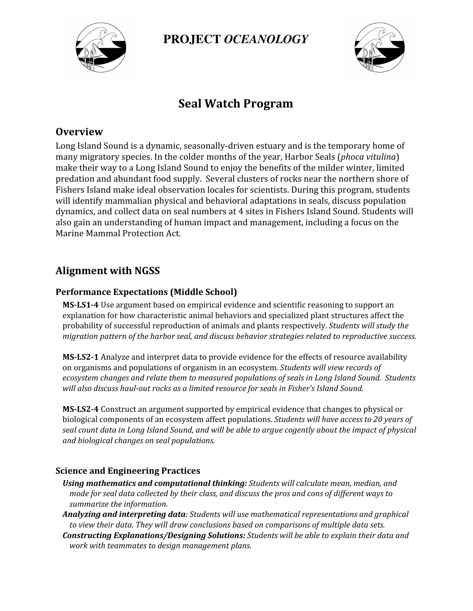

**PROJECT** *OCEANOLOGY*



## **Seal Watch Program**

### **Overview**

Long Island Sound is a dynamic, seasonally-driven estuary and is the temporary home of many migratory species. In the colder months of the year, Harbor Seals (*phoca vitulina*) make their way to a Long Island Sound to enjoy the benefits of the milder winter, limited predation and abundant food supply. Several clusters of rocks near the northern shore of Fishers Island make ideal observation locales for scientists. During this program, students will identify mammalian physical and behavioral adaptations in seals, discuss population dynamics, and collect data on seal numbers at 4 sites in Fishers Island Sound. Students will also gain an understanding of human impact and management, including a focus on the Marine Mammal Protection Act.

## **Alignment with NGSS**

#### **Performance Expectations (Middle School)**

**MS-LS1-4** Use argument based on empirical evidence and scientific reasoning to support an explanation for how characteristic animal behaviors and specialized plant structures affect the probability of successful reproduction of animals and plants respectively. *Students will study the migration pattern of the harbor seal, and discuss behavior strategies related to reproductive success.*

**MS-LS2-1** Analyze and interpret data to provide evidence for the effects of resource availability on organisms and populations of organism in an ecosystem. *Students will view records of ecosystem changes and relate them to measured populations of seals in Long Island Sound. Students will also discuss haul-out rocks as a limited resource for seals in Fisher's Island Sound.*

**MS-LS2-4** Construct an argument supported by empirical evidence that changes to physical or biological components of an ecosystem affect populations. *Students will have access to 20 years of* seal count data in Long Island Sound, and will be able to argue cogently about the impact of physical *and biological changes on seal populations.*

#### **Science and Engineering Practices**

- *Using mathematics and computational thinking: Students will calculate mean, median, and* mode for seal data collected by their class, and discuss the pros and cons of different ways to *summarize the information.*
- *Analyzing and interpreting data: Students will use mathematical representations and graphical to view their data. They will draw conclusions based on comparisons of multiple data sets.*
- *Constructing Explanations/Designing Solutions: Students will be able to explain their data and work with teammates to design management plans.*